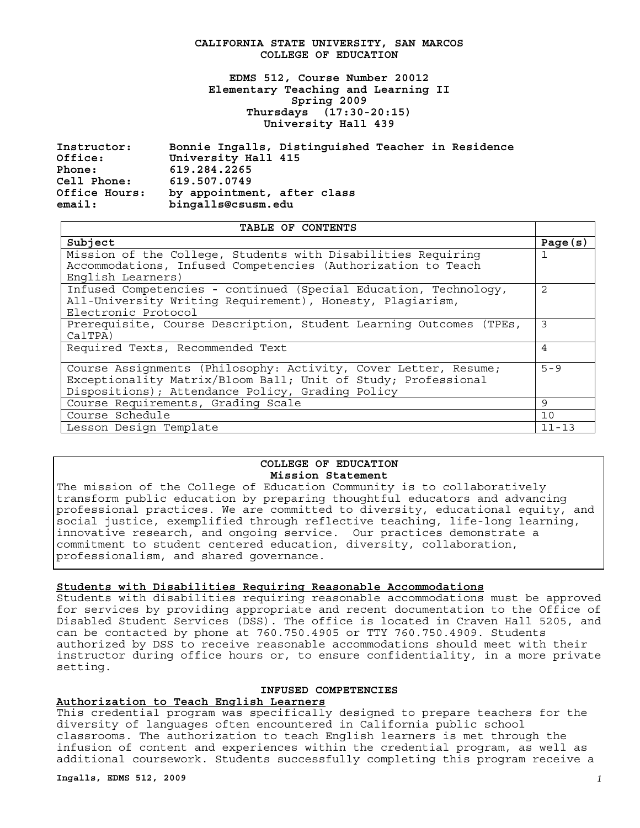#### **CALIFORNIA STATE UNIVERSITY, SAN MARCOS COLLEGE OF EDUCATION**

**EDMS 512, Course Number 20012 Elementary Teaching and Learning II Spring 2009 Thursdays (17:30-20:15) University Hall 439** 

 **Instructor: Office: Phone: Cell Phone: Office Hours: email: Bonnie Ingalls, Distinguished Teacher in Residence University Hall 415 619.284.2265 619.507.0749 by appointment, after class bingalls@csusm.edu** 

| TABLE OF CONTENTS                                                                                                                                                                    |                |
|--------------------------------------------------------------------------------------------------------------------------------------------------------------------------------------|----------------|
| Subject                                                                                                                                                                              | Page $(s)$     |
| Mission of the College, Students with Disabilities Requiring<br>Accommodations, Infused Competencies (Authorization to Teach<br>English Learners)                                    | 1              |
| Infused Competencies - continued (Special Education, Technology,<br>All-University Writing Requirement), Honesty, Plagiarism,<br>Electronic Protocol                                 | $\mathfrak{D}$ |
| Prerequisite, Course Description, Student Learning Outcomes (TPEs,<br>CalTPA)                                                                                                        | 3              |
| Required Texts, Recommended Text                                                                                                                                                     | 4              |
| Course Assignments (Philosophy: Activity, Cover Letter, Resume;<br>Exceptionality Matrix/Bloom Ball; Unit of Study; Professional<br>Dispositions); Attendance Policy, Grading Policy | $5 - 9$        |
| Course Requirements, Grading Scale                                                                                                                                                   | 9              |
| Course Schedule                                                                                                                                                                      | 10             |
| Lesson Design Template                                                                                                                                                               | $11 - 13$      |

#### **COLLEGE OF EDUCATION Mission Statement**

The mission of the College of Education Community is to collaboratively transform public education by preparing thoughtful educators and advancing professional practices. We are committed to diversity, educational equity, and social justice, exemplified through reflective teaching, life-long learning, innovative research, and ongoing service. Our practices demonstrate a commitment to student centered education, diversity, collaboration, professionalism, and shared governance.

#### **Students with Disabilities Requiring Reasonable Accommodations**

Students with disabilities requiring reasonable accommodations must be approved for services by providing appropriate and recent documentation to the Office of Disabled Student Services (DSS). The office is located in Craven Hall 5205, and can be contacted by phone at 760.750.4905 or TTY 760.750.4909. Students authorized by DSS to receive reasonable accommodations should meet with their instructor during office hours or, to ensure confidentiality, in a more private setting.

#### **INFUSED COMPETENCIES**

#### **Authorization to Teach English Learners**

This credential program was specifically designed to prepare teachers for the diversity of languages often encountered in California public school classrooms. The authorization to teach English learners is met through the infusion of content and experiences within the credential program, as well as additional coursework. Students successfully completing this program receive a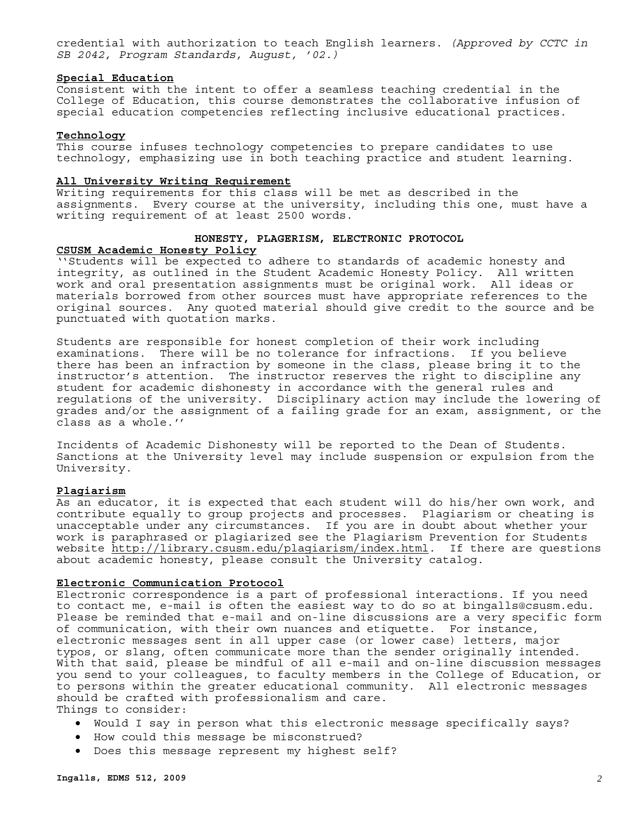credential with authorization to teach English learners. *(Approved by CCTC in SB 2042, Program Standards, August, '02.)* 

#### **Special Education**

Consistent with the intent to offer a seamless teaching credential in the College of Education, this course demonstrates the collaborative infusion of special education competencies reflecting inclusive educational practices.

#### **Technology**

This course infuses technology competencies to prepare candidates to use technology, emphasizing use in both teaching practice and student learning.

#### **All University Writing Requirement**

Writing requirements for this class will be met as described in the assignments. Every course at the university, including this one, must have a writing requirement of at least 2500 words.

#### **HONESTY, PLAGERISM, ELECTRONIC PROTOCOL**

#### **CSUSM Academic Honesty Policy**

''Students will be expected to adhere to standards of academic honesty and integrity, as outlined in the Student Academic Honesty Policy. All written work and oral presentation assignments must be original work. All ideas or materials borrowed from other sources must have appropriate references to the original sources. Any quoted material should give credit to the source and be punctuated with quotation marks.

Students are responsible for honest completion of their work including examinations. There will be no tolerance for infractions. If you believe there has been an infraction by someone in the class, please bring it to the instructor's attention. The instructor reserves the right to discipline any student for academic dishonesty in accordance with the general rules and regulations of the university. Disciplinary action may include the lowering of grades and/or the assignment of a failing grade for an exam, assignment, or the class as a whole.''

Incidents of Academic Dishonesty will be reported to the Dean of Students. Sanctions at the University level may include suspension or expulsion from the University.

#### **Plagiarism**

As an educator, it is expected that each student will do his/her own work, and contribute equally to group projects and processes. Plagiarism or cheating is unacceptable under any circumstances. If you are in doubt about whether your work is paraphrased or plagiarized see the Plagiarism Prevention for Students website http://library.csusm.edu/plagiarism/index.html. If there are questions about academic honesty, please consult the University catalog.

#### **Electronic Communication Protocol**

Electronic correspondence is a part of professional interactions. If you need to contact me, e-mail is often the easiest way to do so at bingalls@csusm.edu. Please be reminded that e-mail and on-line discussions are a very specific form of communication, with their own nuances and etiquette. For instance, electronic messages sent in all upper case (or lower case) letters, major typos, or slang, often communicate more than the sender originally intended. With that said, please be mindful of all e-mail and on-line discussion messages you send to your colleagues, to faculty members in the College of Education, or to persons within the greater educational community. All electronic messages should be crafted with professionalism and care. Things to consider:

• Would I say in person what this electronic message specifically says?

- How could this message be misconstrued?
- Does this message represent my highest self?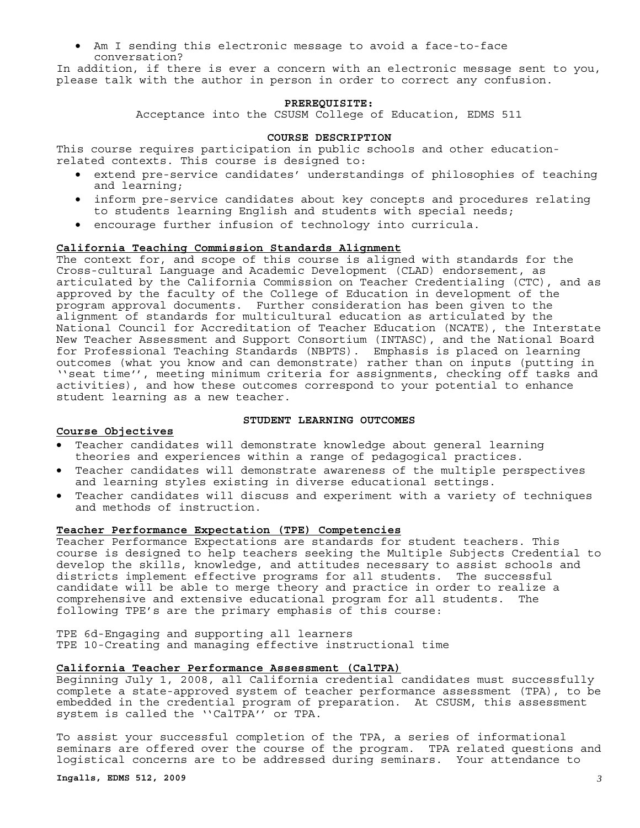Am I sending this electronic message to avoid a face-to-face conversation?

In addition, if there is ever a concern with an electronic message sent to you, please talk with the author in person in order to correct any confusion.

#### **PREREQUISITE:**

Acceptance into the CSUSM College of Education, EDMS 511

#### **COURSE DESCRIPTION**

This course requires participation in public schools and other educationrelated contexts. This course is designed to:

- extend pre-service candidates' understandings of philosophies of teaching and learning;
- • inform pre-service candidates about key concepts and procedures relating to students learning English and students with special needs;
- • encourage further infusion of technology into curricula.

#### **California Teaching Commission Standards Alignment**

The context for, and scope of this course is aligned with standards for the Cross-cultural Language and Academic Development (CLAD) endorsement, as articulated by the California Commission on Teacher Credentialing (CTC), and as approved by the faculty of the College of Education in development of the program approval documents. Further consideration has been given to the alignment of standards for multicultural education as articulated by the National Council for Accreditation of Teacher Education (NCATE), the Interstate New Teacher Assessment and Support Consortium (INTASC), and the National Board for Professional Teaching Standards (NBPTS). Emphasis is placed on learning outcomes (what you know and can demonstrate) rather than on inputs (putting in ''seat time'', meeting minimum criteria for assignments, checking off tasks and activities), and how these outcomes correspond to your potential to enhance student learning as a new teacher.

#### **Course Objectives**

#### **STUDENT LEARNING OUTCOMES**

- Teacher candidates will demonstrate knowledge about general learning theories and experiences within a range of pedagogical practices.
- • Teacher candidates will demonstrate awareness of the multiple perspectives and learning styles existing in diverse educational settings.
- Teacher candidates will discuss and experiment with a variety of techniques and methods of instruction.

#### **Teacher Performance Expectation (TPE) Competencies**

Teacher Performance Expectations are standards for student teachers. This course is designed to help teachers seeking the Multiple Subjects Credential to develop the skills, knowledge, and attitudes necessary to assist schools and districts implement effective programs for all students. The successful candidate will be able to merge theory and practice in order to realize a comprehensive and extensive educational program for all students. The following TPE's are the primary emphasis of this course:

TPE 6d-Engaging and supporting all learners TPE 10-Creating and managing effective instructional time

#### **California Teacher Performance Assessment (CalTPA)**

Beginning July 1, 2008, all California credential candidates must successfully complete a state-approved system of teacher performance assessment (TPA), to be embedded in the credential program of preparation. At CSUSM, this assessment system is called the ''CalTPA'' or TPA.

To assist your successful completion of the TPA, a series of informational seminars are offered over the course of the program. TPA related questions and logistical concerns are to be addressed during seminars. Your attendance to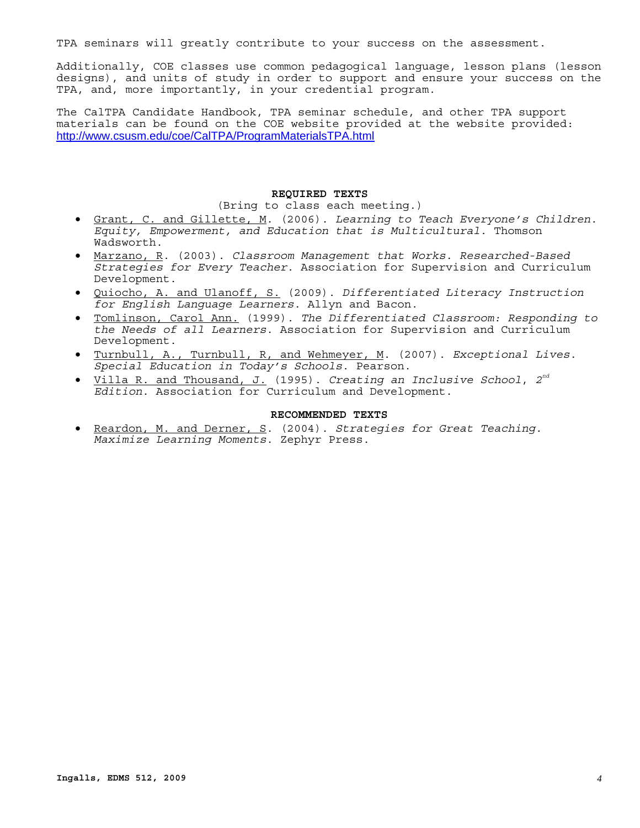TPA seminars will greatly contribute to your success on the assessment.

Additionally, COE classes use common pedagogical language, lesson plans (lesson designs), and units of study in order to support and ensure your success on the TPA, and, more importantly, in your credential program.

The CalTPA Candidate Handbook, TPA seminar schedule, and other TPA support materials can be found on the COE website provided at the website provided: http://www.csusm.edu/coe/CalTPA/ProgramMaterialsTPA.html

#### **REQUIRED TEXTS**

(Bring to class each meeting.)

- • Grant, C. and Gillette, M. (2006). *Learning to Teach Everyone's Children. Equity, Empowerment, and Education that is Multicultural*. Thomson Wadsworth.
- • Marzano, R. (2003). *Classroom Management that Works. Researched-Based Strategies for Every Teacher*. Association for Supervision and Curriculum Development.
- • Quiocho, A. and Ulanoff, S. (2009). *Differentiated Literacy Instruction for English Language Learners.* Allyn and Bacon.
- • Tomlinson, Carol Ann. (1999). *The Differentiated Classroom: Responding to the Needs of all Learners*. Association for Supervision and Curriculum Development.
- • Turnbull, A., Turnbull, R, and Wehmeyer, M. (2007). *Exceptional Lives. Special Education in Today's Schools*. Pearson.
- • Villa R. and Thousand, J. (1995). *Creating an Inclusive School*, *2nd Edition*. Association for Curriculum and Development.

#### **RECOMMENDED TEXTS**

• Reardon, M. and Derner, S. (2004). *Strategies for Great Teaching. Maximize Learning Moments*. Zephyr Press.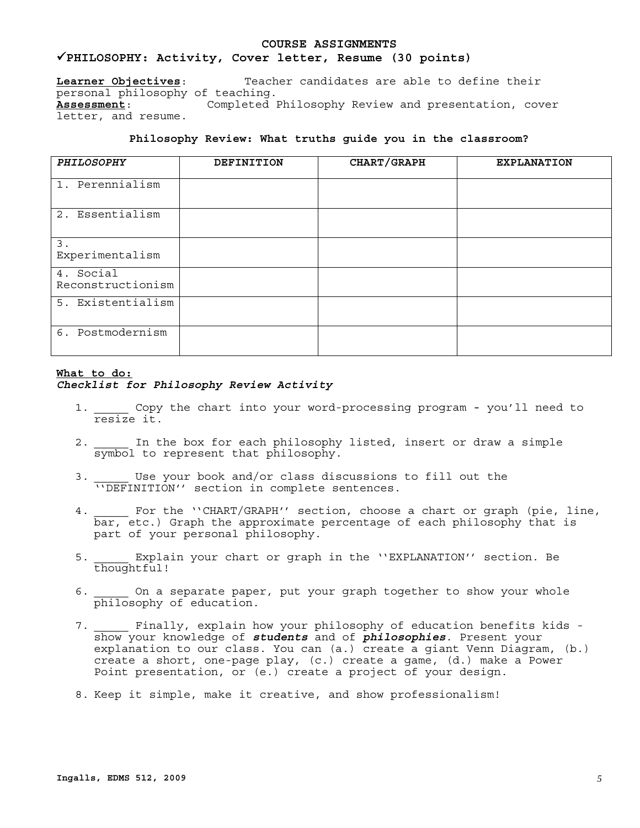## **COURSE ASSIGNMENTS**

<sup>9</sup>**PHILOSOPHY: Activity, Cover letter, Resume (30 points) Learner Objectives**: Teacher candidates are able to define their personal philosophy of teaching. **Assessment**: Completed Philosophy Review and presentation, cover letter, and resume.

#### **Philosophy Review: What truths guide you in the classroom?**

| <b>PHILOSOPHY</b>              | <b>DEFINITION</b> | CHART/GRAPH | <b>EXPLANATION</b> |
|--------------------------------|-------------------|-------------|--------------------|
| 1. Perennialism                |                   |             |                    |
| 2. Essentialism                |                   |             |                    |
| 3.<br>Experimentalism          |                   |             |                    |
| 4. Social<br>Reconstructionism |                   |             |                    |
| 5. Existentialism              |                   |             |                    |
| 6. Postmodernism               |                   |             |                    |

#### **What to do:**

#### *Checklist for Philosophy Review Activity*

- 1. \_\_\_\_\_ Copy the chart into your word-processing program you'll need to resize it.
- 2. \_\_\_\_\_ In the box for each philosophy listed, insert or draw a simple symbol to represent that philosophy.
- Use your book and/or class discussions to fill out the 3. Use your noon and, of these sentences.<br>''DEFINITION'' section in complete sentences.
- 4. For the ''CHART/GRAPH'' section, choose a chart or graph (pie, line, bar, etc.) Graph the approximate percentage of each philosophy that is part of your personal philosophy.
- 5. \_\_\_\_\_ Explain your chart or graph in the ''EXPLANATION'' section. Be thoughtful!
- on a separate paper, put your graph together to show your whole philosophy of education.
- Finally, explain how your philosophy of education benefits kids show your knowledge of *students* and of *philosophies*. Present your explanation to our class. You can (a.) create a giant Venn Diagram, (b.) create a short, one-page play, (c.) create a game, (d.) make a Power Point presentation, or (e.) create a project of your design.
- 8. Keep it simple, make it creative, and show professionalism!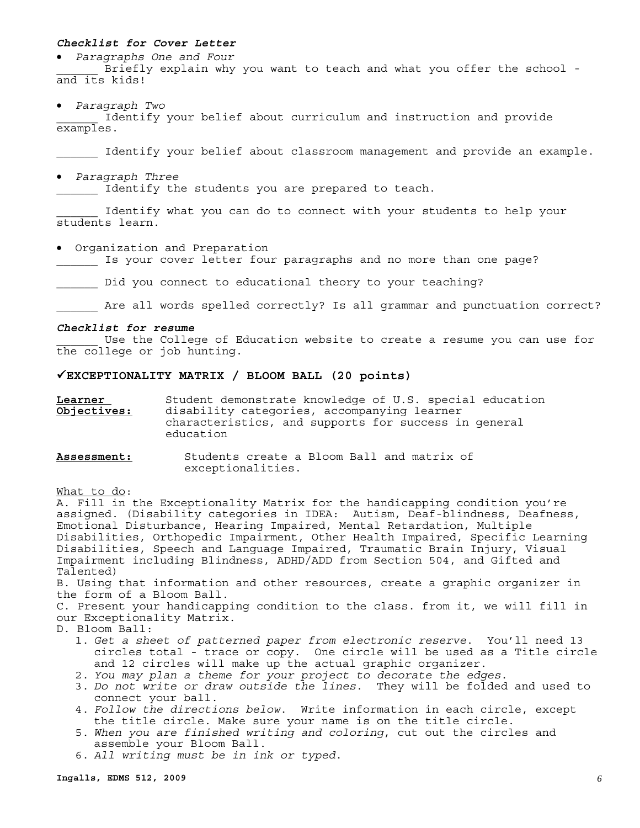#### *Checklist for Cover Letter*

• *Paragraphs One and Four* 

Briefly explain why you want to teach and what you offer the school and its kids!

• *Paragraph Two* 

Identify your belief about curriculum and instruction and provide examples.

Identify your belief about classroom management and provide an example.

• *Paragraph Three* 

Identify the students you are prepared to teach.

Identify what you can do to connect with your students to help your students learn.

• Organization and Preparation

Is your cover letter four paragraphs and no more than one page?

Did you connect to educational theory to your teaching?

Are all words spelled correctly? Is all grammar and punctuation correct?

#### *Checklist for resume*

Use the College of Education website to create a resume you can use for the college or job hunting.

#### 9**EXCEPTIONALITY MATRIX / BLOOM BALL (20 points)**

**Learner**  Student demonstrate knowledge of U.S. special education **Objectives:** disability categories, accompanying learner characteristics, and supports for success in general education

**Assessment:** Students create a Bloom Ball and matrix of exceptionalities.

What to do:

 assigned. (Disability categories in IDEA: Autism, Deaf-blindness, Deafness, A. Fill in the Exceptionality Matrix for the handicapping condition you're Emotional Disturbance, Hearing Impaired, Mental Retardation, Multiple Disabilities, Orthopedic Impairment, Other Health Impaired, Specific Learning Disabilities, Speech and Language Impaired, Traumatic Brain Injury, Visual Impairment including Blindness, ADHD/ADD from Section 504, and Gifted and Talented)

B. Using that information and other resources, create a graphic organizer in the form of a Bloom Ball.

C. Present your handicapping condition to the class. from it, we will fill in our Exceptionality Matrix.

- D. Bloom Ball:
	- 1. *Get a sheet of patterned paper from electronic reserve*. You'll need 13 circles total - trace or copy. One circle will be used as a Title circle and 12 circles will make up the actual graphic organizer.
	- 2. *You may plan a theme for your project to decorate the edges*.
	- 3. *Do not write or draw outside the lines*. They will be folded and used to connect your ball.
	- 4. *Follow the directions below*. Write information in each circle, except the title circle. Make sure your name is on the title circle.
	- 5. *When you are finished writing and coloring*, cut out the circles and assemble your Bloom Ball.
	- 6. *All writing must be in ink or typed*.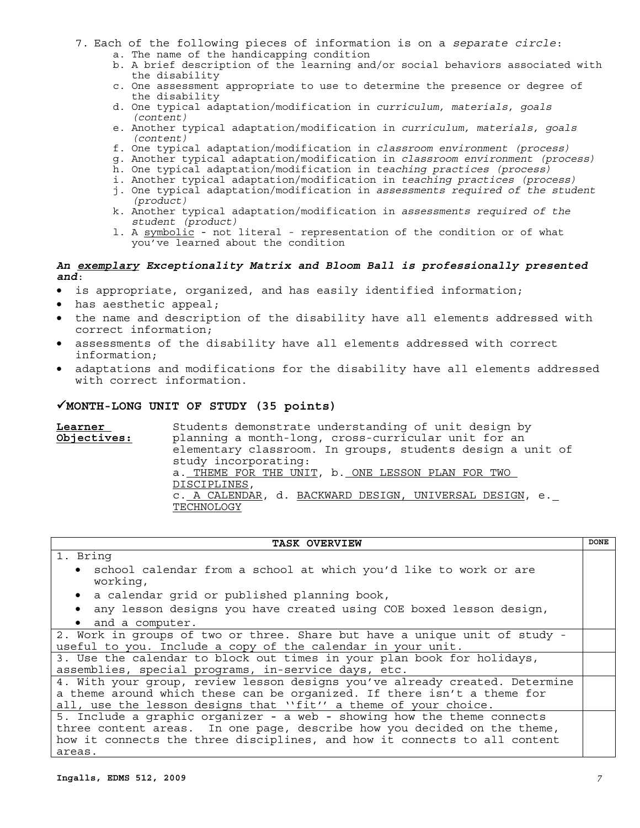- 7. Each of the following pieces of information is on a *separate circle*:
	- a. The name of the handicapping condition
	- b. A brief description of the learning and/or social behaviors associated with the disability
	- c. One assessment appropriate to use to determine the presence or degree of the disability
	- d. One typical adaptation/modification in *curriculum, materials, goals (content)*
	- e. Another typical adaptation/modification in *curriculum, materials, goals (content)*
	- f. One typical adaptation/modification in *classroom environment (process)*
	- g. Another typical adaptation/modification in *classroom environment (process)*
	- h. One typical adaptation/modification in *teaching practices (process)*
	- i. Another typical adaptation/modification in *teaching practices (process)*
	- j. One typical adaptation/modification in *assessments required of the student (product)*
	- k. Another typical adaptation/modification in *assessments required of the student (product)*
	- 1. A symbolic not literal representation of the condition or of what you've learned about the condition

#### *An exemplary Exceptionality Matrix and Bloom Ball is professionally presented and*:

- is appropriate, organized, and has easily identified information;
- has aesthetic appeal;
- the name and description of the disability have all elements addressed with correct information;
- assessments of the disability have all elements addressed with correct information;
- adaptations and modifications for the disability have all elements addressed with correct information.

#### 9**MONTH-LONG UNIT OF STUDY (35 points)**

 TECHNOLOGY **Learner**  Students demonstrate understanding of unit design by **Objectives:** planning a month-long, cross-curricular unit for an elementary classroom. In groups, students design a unit of study incorporating: a. THEME FOR THE UNIT, b. ONE LESSON PLAN FOR TWO DISCIPLINES, c. A CALENDAR, d. BACKWARD DESIGN, UNIVERSAL DESIGN, e.

#### TASK OVERVIEW **DONE** 1. Bring • school calendar from a school at which you'd like to work or are working, • a calendar grid or published planning book, • any lesson designs you have created using COE boxed lesson design, • and a computer. 2. Work in groups of two or three. Share but have a unique unit of study useful to you. Include a copy of the calendar in your unit. 3. Use the calendar to block out times in your plan book for holidays, assemblies, special programs, in-service days, etc. 4. With your group, review lesson designs you've already created. Determine a theme around which these can be organized. If there isn't a theme for all, use the lesson designs that ''fit'' a theme of your choice. 5. Include a graphic organizer - a web - showing how the theme connects three content areas. In one page, describe how you decided on the theme, how it connects the three disciplines, and how it connects to all content areas.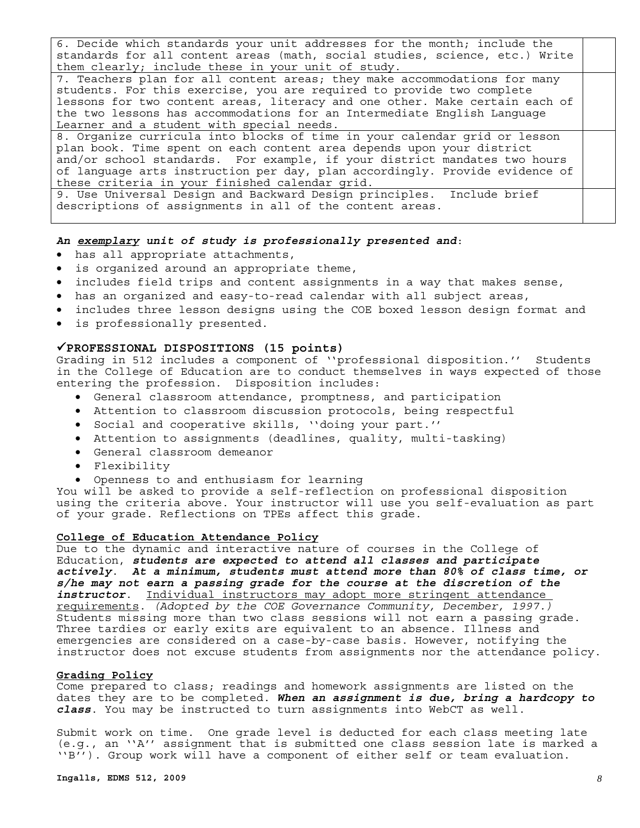6. Decide which standards your unit addresses for the month; include the standards for all content areas (math, social studies, science, etc.) Write them clearly; include these in your unit of study.

7. Teachers plan for all content areas; they make accommodations for many students. For this exercise, you are required to provide two complete lessons for two content areas, literacy and one other. Make certain each of the two lessons has accommodations for an Intermediate English Language Learner and a student with special needs. 8. Organize curricula into blocks of time in your calendar grid or lesson

plan book. Time spent on each content area depends upon your district and/or school standards. For example, if your district mandates two hours of language arts instruction per day, plan accordingly. Provide evidence of these criteria in your finished calendar grid.

9. Use Universal Design and Backward Design principles. Include brief descriptions of assignments in all of the content areas.

#### *An exemplary unit of study is professionally presented and*:

- has all appropriate attachments,
- is organized around an appropriate theme,
- includes field trips and content assignments in a way that makes sense,
- has an organized and easy-to-read calendar with all subject areas,
- includes three lesson designs using the COE boxed lesson design format and
- is professionally presented.

#### 9**PROFESSIONAL DISPOSITIONS (15 points)**

Grading in 512 includes a component of ''professional disposition.'' Students in the College of Education are to conduct themselves in ways expected of those entering the profession. Disposition includes:

- General classroom attendance, promptness, and participation
- Attention to classroom discussion protocols, being respectful
- Social and cooperative skills, ''doing your part.''
- Attention to assignments (deadlines, quality, multi-tasking)
- General classroom demeanor
- Flexibility
- Openness to and enthusiasm for learning

You will be asked to provide a self-reflection on professional disposition using the criteria above. Your instructor will use you self-evaluation as part of your grade. Reflections on TPEs affect this grade.

#### **College of Education Attendance Policy**

Due to the dynamic and interactive nature of courses in the College of Education, *students are expected to attend all classes and participate actively*. *At a minimum, students must attend more than 80% of class time, or s/he may not earn a passing grade for the course at the discretion of the instructor*. Individual instructors may adopt more stringent attendance requirements. *(Adopted by the COE Governance Community, December, 1997.)* Students missing more than two class sessions will not earn a passing grade. Three tardies or early exits are equivalent to an absence. Illness and emergencies are considered on a case-by-case basis. However, notifying the instructor does not excuse students from assignments nor the attendance policy.

#### **Grading Policy**

Come prepared to class; readings and homework assignments are listed on the dates they are to be completed. *When an assignment is due, bring a hardcopy to class*. You may be instructed to turn assignments into WebCT as well.

Submit work on time. One grade level is deducted for each class meeting late (e.g., an ''A'' assignment that is submitted one class session late is marked a ''B''). Group work will have a component of either self or team evaluation.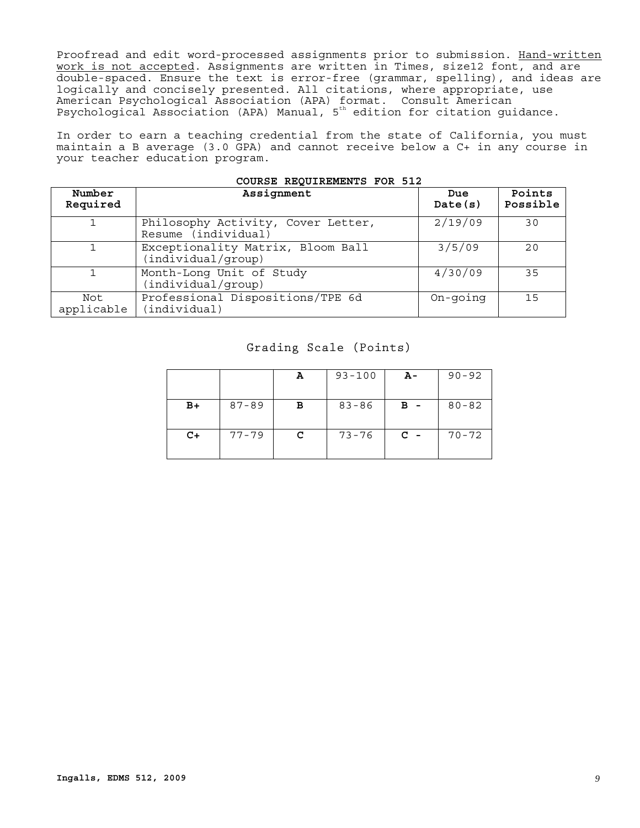Proofread and edit word-processed assignments prior to submission. Hand-written work is not accepted. Assignments are written in Times, size12 font, and are double-spaced. Ensure the text is error-free (grammar, spelling), and ideas are logically and concisely presented. All citations, where appropriate, use American Psychological Association (APA) format. Consult American Psychological Association (APA) Manual, 5th edition for citation guidance.

In order to earn a teaching credential from the state of California, you must maintain a B average (3.0 GPA) and cannot receive below a C+ in any course in your teacher education program.

| Number<br>Required | Assignment                                                | Due<br>Date(s) | Points<br>Possible |
|--------------------|-----------------------------------------------------------|----------------|--------------------|
|                    | Philosophy Activity, Cover Letter,<br>Resume (individual) | 2/19/09        | 30                 |
|                    | Exceptionality Matrix, Bloom Ball<br>(individual/group)   | 3/5/09         | 20                 |
| $\mathbf{1}$       | Month-Long Unit of Study<br>(individual/group)            | 4/30/09        | 35                 |
| Not<br>applicable  | Professional Dispositions/TPE 6d<br>(individual)          | On-going       | 15                 |

#### **COURSE REQUIREMENTS FOR 512**

#### Grading Scale (Points)

|      |           | А | $93 - 100$ | А-    | $90 - 92$ |
|------|-----------|---|------------|-------|-----------|
| $B+$ | $87 - 89$ | в | $83 - 86$  | $B -$ | $80 - 82$ |
| $C+$ | $77 - 79$ | c | $73 - 76$  | $C -$ | $70 - 72$ |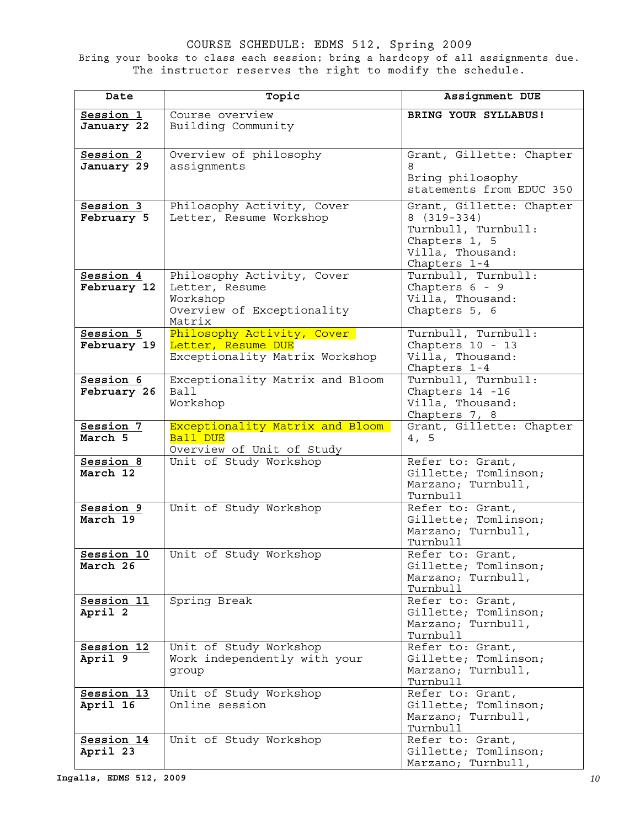COURSE SCHEDULE: EDMS 512, Spring 2009 Bring your books to class each session; bring a hardcopy of all assignments due. The instructor reserves the right to modify the schedule.

| Date                     | Topic                                            | Assignment DUE                            |
|--------------------------|--------------------------------------------------|-------------------------------------------|
| Session 1                | Course overview                                  | BRING YOUR SYLLABUS!                      |
| January 22               | Building Community                               |                                           |
|                          |                                                  |                                           |
| Session 2                | Overview of philosophy                           | Grant, Gillette: Chapter                  |
| January 29               | assignments                                      | 8                                         |
|                          |                                                  | Bring philosophy                          |
|                          |                                                  | statements from EDUC 350                  |
| Session 3                | Philosophy Activity, Cover                       | Grant, Gillette: Chapter                  |
| February 5               | Letter, Resume Workshop                          | $8(319-334)$                              |
|                          |                                                  | Turnbull, Turnbull:                       |
|                          |                                                  | Chapters 1, 5<br>Villa, Thousand:         |
|                          |                                                  | Chapters 1-4                              |
| Session 4                | Philosophy Activity, Cover                       | Turnbull, Turnbull:                       |
| February 12              | Letter, Resume                                   | Chapters 6 - 9                            |
|                          | Workshop                                         | Villa, Thousand:                          |
|                          | Overview of Exceptionality                       | Chapters 5, 6                             |
|                          | Matrix                                           |                                           |
| Session 5<br>February 19 | Philosophy Activity, Cover<br>Letter, Resume DUE | Turnbull, Turnbull:<br>Chapters 10 - 13   |
|                          | Exceptionality Matrix Workshop                   | Villa, Thousand:                          |
|                          |                                                  | Chapters 1-4                              |
| Session 6                | Exceptionality Matrix and Bloom                  | Turnbull, Turnbull:                       |
| February 26              | Ball                                             | Chapters 14 -16                           |
|                          | Workshop                                         | Villa, Thousand:                          |
| Session 7                | Exceptionality Matrix and Bloom                  | Chapters 7, 8<br>Grant, Gillette: Chapter |
| March 5                  | Ball DUE                                         | 4, 5                                      |
|                          | Overview of Unit of Study                        |                                           |
| Session 8                | Unit of Study Workshop                           | Refer to: Grant,                          |
| March 12                 |                                                  | Gillette; Tomlinson;                      |
|                          |                                                  | Marzano; Turnbull,                        |
| Session 9                | Unit of Study Workshop                           | Turnbull<br>Refer to: Grant,              |
| March 19                 |                                                  | Gillette; Tomlinson;                      |
|                          |                                                  | Marzano; Turnbull,                        |
|                          |                                                  | Turnbull                                  |
| Session 10               | Unit of Study Workshop                           | Refer to: Grant,                          |
| March 26                 |                                                  | Gillette; Tomlinson;                      |
|                          |                                                  | Marzano; Turnbull,<br>Turnbull            |
| Session 11               | Spring Break                                     | Refer to: Grant,                          |
| April 2                  |                                                  | Gillette; Tomlinson;                      |
|                          |                                                  | Marzano; Turnbull,                        |
|                          |                                                  | Turnbull                                  |
| Session 12               | Unit of Study Workshop                           | Refer to: Grant,                          |
| April 9                  | Work independently with your                     | Gillette; Tomlinson;                      |
|                          | group                                            | Marzano; Turnbull,<br>Turnbull            |
| Session 13               | Unit of Study Workshop                           | Refer to: Grant,                          |
| April 16                 | Online session                                   | Gillette; Tomlinson;                      |
|                          |                                                  | Marzano; Turnbull,                        |
|                          |                                                  | Turnbull                                  |
| Session 14<br>April 23   | Unit of Study Workshop                           | Refer to: Grant,<br>Gillette; Tomlinson;  |
|                          |                                                  | Marzano; Turnbull,                        |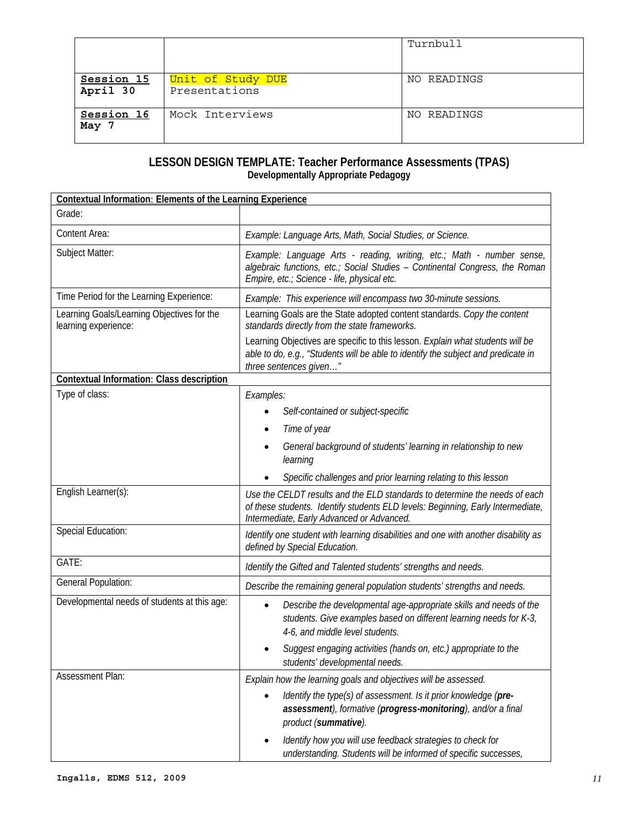|                        |                                    | Turnbull    |
|------------------------|------------------------------------|-------------|
| Session 15<br>April 30 | Unit of Study DUE<br>Presentations | NO READINGS |
| Session 16<br>May 7    | Mock Interviews                    | NO READINGS |

#### **LESSON DESIGN TEMPLATE: Teacher Performance Assessments (TPAS) Developmentally Appropriate Pedagogy**

| <b>Contextual Information: Elements of the Learning Experience</b> |                                                                                                                                                                                                            |
|--------------------------------------------------------------------|------------------------------------------------------------------------------------------------------------------------------------------------------------------------------------------------------------|
| Grade:                                                             |                                                                                                                                                                                                            |
| Content Area:                                                      | Example: Language Arts, Math, Social Studies, or Science.                                                                                                                                                  |
| Subject Matter:                                                    | Example: Language Arts - reading, writing, etc.; Math - number sense,<br>algebraic functions, etc.; Social Studies - Continental Congress, the Roman<br>Empire, etc.; Science - life, physical etc.        |
| Time Period for the Learning Experience:                           | Example: This experience will encompass two 30-minute sessions.                                                                                                                                            |
| Learning Goals/Learning Objectives for the<br>learning experience: | Learning Goals are the State adopted content standards. Copy the content<br>standards directly from the state frameworks.                                                                                  |
|                                                                    | Learning Objectives are specific to this lesson. Explain what students will be<br>able to do, e.g., "Students will be able to identify the subject and predicate in<br>three sentences given"              |
| Contextual Information: Class description                          |                                                                                                                                                                                                            |
| Type of class:                                                     | Examples:                                                                                                                                                                                                  |
|                                                                    | Self-contained or subject-specific                                                                                                                                                                         |
|                                                                    | Time of year                                                                                                                                                                                               |
|                                                                    | General background of students' learning in relationship to new<br>learning                                                                                                                                |
|                                                                    | Specific challenges and prior learning relating to this lesson                                                                                                                                             |
| English Learner(s):                                                | Use the CELDT results and the ELD standards to determine the needs of each<br>of these students. Identify students ELD levels: Beginning, Early Intermediate,<br>Intermediate, Early Advanced or Advanced. |
| Special Education:                                                 | Identify one student with learning disabilities and one with another disability as<br>defined by Special Education.                                                                                        |
| GATE:                                                              | Identify the Gifted and Talented students' strengths and needs.                                                                                                                                            |
| General Population:                                                | Describe the remaining general population students' strengths and needs.                                                                                                                                   |
| Developmental needs of students at this age:                       | Describe the developmental age-appropriate skills and needs of the<br>$\bullet$<br>students. Give examples based on different learning needs for K-3,<br>4-6, and middle level students.                   |
|                                                                    | Suggest engaging activities (hands on, etc.) appropriate to the<br>students' developmental needs.                                                                                                          |
| Assessment Plan:                                                   | Explain how the learning goals and objectives will be assessed.                                                                                                                                            |
|                                                                    | Identify the type(s) of assessment. Is it prior knowledge (pre-<br>assessment), formative (progress-monitoring), and/or a final<br>product (summative).                                                    |
|                                                                    | Identify how you will use feedback strategies to check for<br>$\bullet$<br>understanding. Students will be informed of specific successes,                                                                 |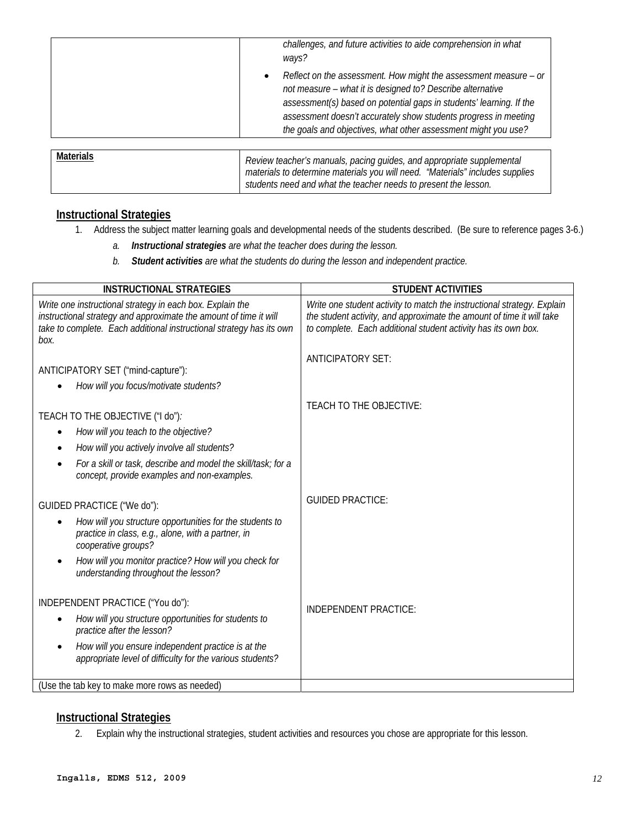| not measure - what it is designed to? Describe alternative<br>assessment(s) based on potential gaps in students' learning. If the | challenges, and future activities to aide comprehension in what<br>ways?                                                            |
|-----------------------------------------------------------------------------------------------------------------------------------|-------------------------------------------------------------------------------------------------------------------------------------|
| the goals and objectives, what other assessment might you use?                                                                    | Reflect on the assessment. How might the assessment measure - or<br>assessment doesn't accurately show students progress in meeting |

| <b>Materials</b> | Review teacher's manuals, pacing guides, and appropriate supplemental<br>materials to determine materials you will need. "Materials" includes supplies |  |
|------------------|--------------------------------------------------------------------------------------------------------------------------------------------------------|--|
|                  | students need and what the teacher needs to present the lesson.                                                                                        |  |

## **Instructional Strategies**

- 1. Address the subject matter learning goals and developmental needs of the students described. (Be sure to reference pages 3-6.)
	- *a. Instructional strategies are what the teacher does during the lesson.*
	- *b. Student activities are what the students do during the lesson and independent practice.*

| <b>INSTRUCTIONAL STRATEGIES</b>                                                                                                                                                                                                         | <b>STUDENT ACTIVITIES</b>                                                                                                                                                                                          |  |
|-----------------------------------------------------------------------------------------------------------------------------------------------------------------------------------------------------------------------------------------|--------------------------------------------------------------------------------------------------------------------------------------------------------------------------------------------------------------------|--|
| Write one instructional strategy in each box. Explain the<br>instructional strategy and approximate the amount of time it will<br>take to complete. Each additional instructional strategy has its own<br>box.                          | Write one student activity to match the instructional strategy. Explain<br>the student activity, and approximate the amount of time it will take<br>to complete. Each additional student activity has its own box. |  |
| ANTICIPATORY SET ("mind-capture"):                                                                                                                                                                                                      | <b>ANTICIPATORY SET:</b>                                                                                                                                                                                           |  |
| How will you focus/motivate students?                                                                                                                                                                                                   |                                                                                                                                                                                                                    |  |
| TEACH TO THE OBJECTIVE ("I do").<br>How will you teach to the objective?<br>How will you actively involve all students?<br>For a skill or task, describe and model the skill/task; for a<br>concept, provide examples and non-examples. | TEACH TO THE OBJECTIVE:                                                                                                                                                                                            |  |
| GUIDED PRACTICE ("We do"):                                                                                                                                                                                                              | <b>GUIDED PRACTICE:</b>                                                                                                                                                                                            |  |
| How will you structure opportunities for the students to<br>practice in class, e.g., alone, with a partner, in<br>cooperative groups?                                                                                                   |                                                                                                                                                                                                                    |  |
| How will you monitor practice? How will you check for<br>understanding throughout the lesson?                                                                                                                                           |                                                                                                                                                                                                                    |  |
| INDEPENDENT PRACTICE ("You do"):                                                                                                                                                                                                        |                                                                                                                                                                                                                    |  |
| How will you structure opportunities for students to<br>practice after the lesson?                                                                                                                                                      | INDEPENDENT PRACTICE:                                                                                                                                                                                              |  |
| How will you ensure independent practice is at the<br>appropriate level of difficulty for the various students?                                                                                                                         |                                                                                                                                                                                                                    |  |
| (Use the tab key to make more rows as needed)                                                                                                                                                                                           |                                                                                                                                                                                                                    |  |

#### **Instructional Strategies**

2. Explain why the instructional strategies, student activities and resources you chose are appropriate for this lesson.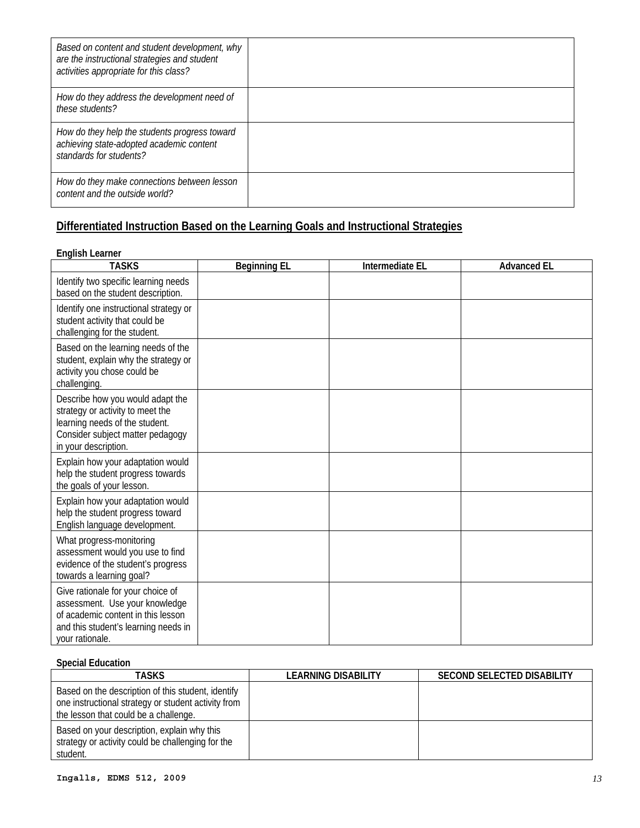| Based on content and student development, why<br>are the instructional strategies and student<br>activities appropriate for this class? |  |
|-----------------------------------------------------------------------------------------------------------------------------------------|--|
| How do they address the development need of<br>these students?                                                                          |  |
| How do they help the students progress toward<br>achieving state-adopted academic content<br>standards for students?                    |  |
| How do they make connections between lesson<br>content and the outside world?                                                           |  |

# Differentiated Instruction Based on the Learning Goals and Instructional Strategies<br>English Learner

| <b>TASKS</b>                                                                                                                                                         | <b>Beginning EL</b> | Intermediate EL | <b>Advanced EL</b> |
|----------------------------------------------------------------------------------------------------------------------------------------------------------------------|---------------------|-----------------|--------------------|
| Identify two specific learning needs<br>based on the student description.                                                                                            |                     |                 |                    |
| Identify one instructional strategy or<br>student activity that could be<br>challenging for the student.                                                             |                     |                 |                    |
| Based on the learning needs of the<br>student, explain why the strategy or<br>activity you chose could be<br>challenging.                                            |                     |                 |                    |
| Describe how you would adapt the<br>strategy or activity to meet the<br>learning needs of the student.<br>Consider subject matter pedagogy<br>in your description.   |                     |                 |                    |
| Explain how your adaptation would<br>help the student progress towards<br>the goals of your lesson.                                                                  |                     |                 |                    |
| Explain how your adaptation would<br>help the student progress toward<br>English language development.                                                               |                     |                 |                    |
| What progress-monitoring<br>assessment would you use to find<br>evidence of the student's progress<br>towards a learning goal?                                       |                     |                 |                    |
| Give rationale for your choice of<br>assessment. Use your knowledge<br>of academic content in this lesson<br>and this student's learning needs in<br>your rationale. |                     |                 |                    |

### **Special Education**

| TASKS                                                                                                                                              | LEARNING DISABILITY | <b>SECOND SELECTED DISABILITY</b> |
|----------------------------------------------------------------------------------------------------------------------------------------------------|---------------------|-----------------------------------|
| Based on the description of this student, identify<br>one instructional strategy or student activity from<br>the lesson that could be a challenge. |                     |                                   |
| Based on your description, explain why this<br>strategy or activity could be challenging for the<br>student.                                       |                     |                                   |